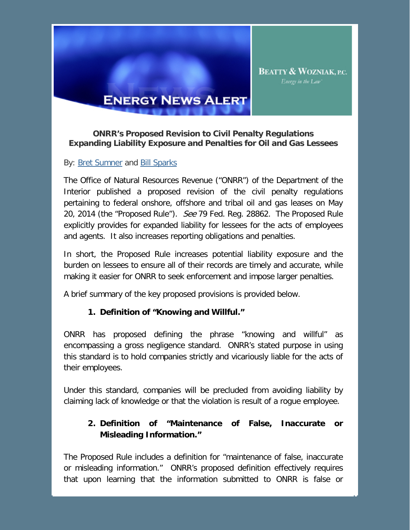

# **ENERGY NEWS ALERT**

#### **ONRR's Proposed Revision to Civil Penalty Regulations Expanding Liability Exposure and Penalties for Oil and Gas Lessees**

#### By: **Bret Sumner and Bill Sparks**

The Office of Natural Resources Revenue ("ONRR") of the Department of the Interior published a proposed revision of the civil penalty regulations pertaining to federal onshore, offshore and tribal oil and gas leases on May 20, 2014 (the "Proposed Rule"). See 79 Fed. Reg. 28862. The Proposed Rule explicitly provides for expanded liability for lessees for the acts of employees and agents. It also increases reporting obligations and penalties.

In short, the Proposed Rule increases potential liability exposure and the burden on lessees to ensure all of their records are timely and accurate, while making it easier for ONRR to seek enforcement and impose larger penalties.

A brief summary of the key proposed provisions is provided below.

### **1. Definition of "Knowing and Willful."**

ONRR has proposed defining the phrase "knowing and willful" as encompassing a gross negligence standard. ONRR's stated purpose in using this standard is to hold companies strictly and vicariously liable for the acts of their employees.

Under this standard, companies will be precluded from avoiding liability by claiming lack of knowledge or that the violation is result of a rogue employee.

# **2. Definition of "Maintenance of False, Inaccurate or Misleading Information."**

The Proposed Rule includes a definition for "maintenance of false, inaccurate or misleading information." ONRR's proposed definition effectively requires that upon learning that the information submitted to ONRR is false or